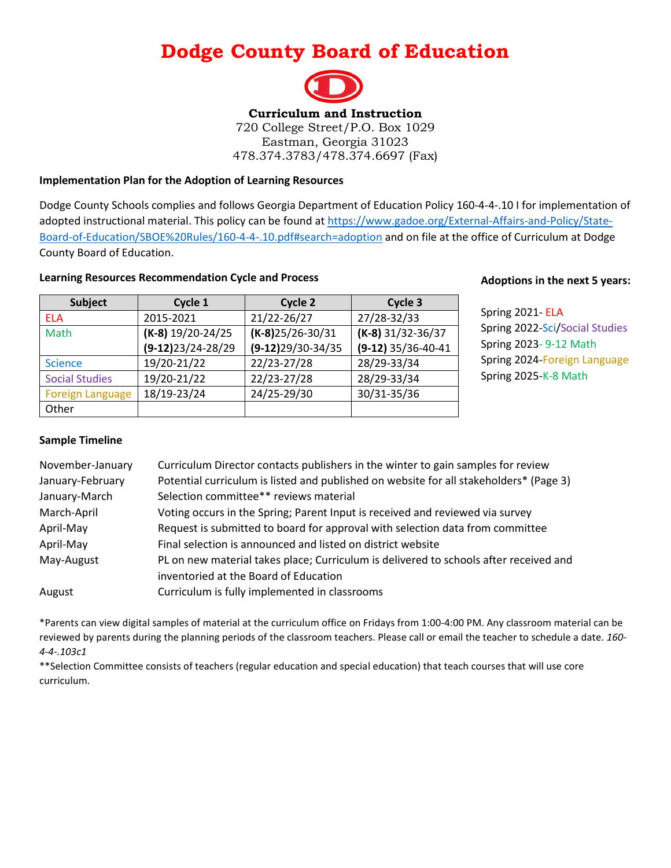# **Dodge County Board of Education**



### **Implementation Plan for the Adoption of Learning Resources**

Dodge County Schools complies and follows Georgia Department of Education Policy 160-4-4-.10 I for implementation of adopted instructional material. This policy can be found at [https://www.gadoe.org/External-Affairs-and-Policy/State-](https://www.gadoe.org/External-Affairs-and-Policy/State-Board-of-Education/SBOE%20Rules/160-4-4-.10.pdf#search=adoption)[Board-of-Education/SBOE%20Rules/160-4-4-.10.pdf#search=adoption](https://www.gadoe.org/External-Affairs-and-Policy/State-Board-of-Education/SBOE%20Rules/160-4-4-.10.pdf#search=adoption) and on file at the office of Curriculum at Dodge County Board of Education.

### **Learning Resources Recommendation Cycle and Process**

| Subject                 | Cycle 1              | Cycle 2             | Cycle 3              |
|-------------------------|----------------------|---------------------|----------------------|
| <b>ELA</b>              | 2015-2021            | 21/22-26/27         | 27/28-32/33          |
| Math                    | $(K-8)$ 19/20-24/25  | $(K-8)25/26-30/31$  | $(K-8)$ 31/32-36/37  |
|                         | $(9-12)$ 23/24-28/29 | $(9-12)29/30-34/35$ | $(9-12)$ 35/36-40-41 |
| <b>Science</b>          | 19/20-21/22          | 22/23-27/28         | 28/29-33/34          |
| <b>Social Studies</b>   | 19/20-21/22          | 22/23-27/28         | 28/29-33/34          |
| <b>Foreign Language</b> | 18/19-23/24          | 24/25-29/30         | 30/31-35/36          |
| Other                   |                      |                     |                      |

### **Adoptions in the next 5 years:**

Spring 2021- ELA Spring 2022-Sci/Social Studies Spring 2023- 9-12 Math Spring 2024-Foreign Language Spring 2025-K-8 Math

### **Sample Timeline**

| November-January | Curriculum Director contacts publishers in the winter to gain samples for review       |
|------------------|----------------------------------------------------------------------------------------|
| January-February | Potential curriculum is listed and published on website for all stakeholders* (Page 3) |
| January-March    | Selection committee** reviews material                                                 |
| March-April      | Voting occurs in the Spring; Parent Input is received and reviewed via survey          |
| April-May        | Request is submitted to board for approval with selection data from committee          |
| April-May        | Final selection is announced and listed on district website                            |
| May-August       | PL on new material takes place; Curriculum is delivered to schools after received and  |
|                  | inventoried at the Board of Education                                                  |
| August           | Curriculum is fully implemented in classrooms                                          |

\*Parents can view digital samples of material at the curriculum office on Fridays from 1:00-4:00 PM. Any classroom material can be reviewed by parents during the planning periods of the classroom teachers. Please call or email the teacher to schedule a date. *160- 4-4-.103c1*

\*\*Selection Committee consists of teachers (regular education and special education) that teach courses that will use core curriculum.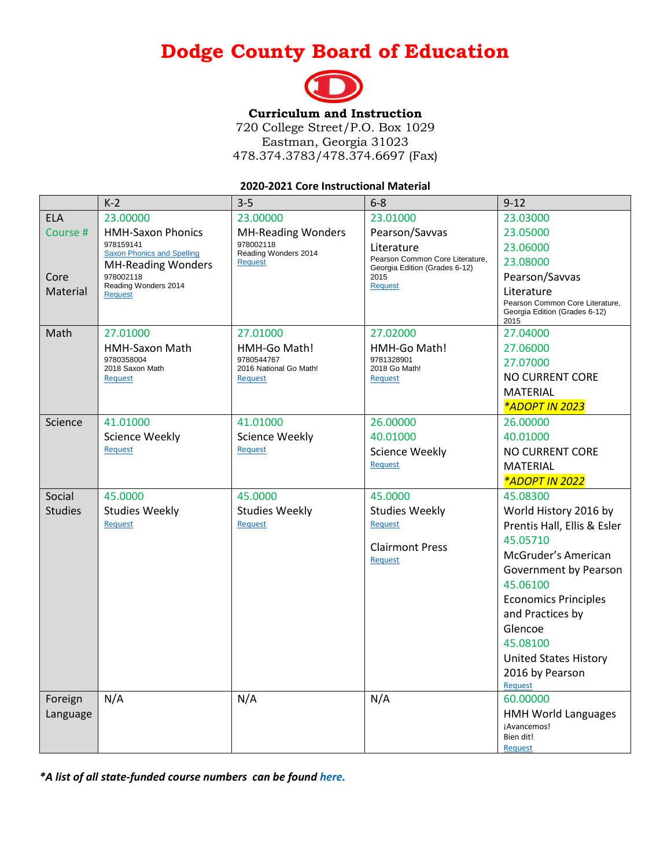# **Dodge County Board of Education**



## **Curriculum and Instruction**

720 College Street/P.O. Box 1029 Eastman, Georgia 31023 478.374.3783/478.374.6697 (Fax)

#### **2020-2021 Core Instructional Material**

|                | $K-2$                                          | $3 - 5$                              | $6 - 8$                                                          | $9 - 12$                                                                               |
|----------------|------------------------------------------------|--------------------------------------|------------------------------------------------------------------|----------------------------------------------------------------------------------------|
| <b>ELA</b>     | 23.00000                                       | 23.00000                             | 23.01000                                                         | 23.03000                                                                               |
| Course #       | <b>HMH-Saxon Phonics</b>                       | <b>MH-Reading Wonders</b>            | Pearson/Savvas                                                   | 23.05000                                                                               |
|                | 978159141<br><b>Saxon Phonics and Spelling</b> | 978002118<br>Reading Wonders 2014    | Literature                                                       | 23.06000                                                                               |
|                | <b>MH-Reading Wonders</b>                      | <b>Request</b>                       | Pearson Common Core Literature,<br>Georgia Edition (Grades 6-12) | 23.08000                                                                               |
| Core           | 978002118                                      |                                      | 2015                                                             | Pearson/Savvas                                                                         |
| Material       | Reading Wonders 2014<br><b>Request</b>         |                                      | <b>Request</b>                                                   | Literature<br>Pearson Common Core Literature,<br>Georgia Edition (Grades 6-12)<br>2015 |
| Math           | 27.01000                                       | 27.01000                             | 27.02000                                                         | 27.04000                                                                               |
|                | <b>HMH-Saxon Math</b>                          | HMH-Go Math!                         | HMH-Go Math!                                                     | 27.06000                                                                               |
|                | 9780358004<br>2018 Saxon Math                  | 9780544767<br>2016 National Go Math! | 9781328901<br>2018 Go Math!                                      | 27.07000                                                                               |
|                | <b>Request</b>                                 | <b>Request</b>                       | Reauest                                                          | <b>NO CURRENT CORE</b>                                                                 |
|                |                                                |                                      |                                                                  | <b>MATERIAL</b>                                                                        |
|                |                                                |                                      |                                                                  | *ADOPT IN 2023                                                                         |
| Science        | 41.01000                                       | 41.01000                             | 26.00000                                                         | 26.00000                                                                               |
|                | <b>Science Weekly</b>                          | <b>Science Weekly</b>                | 40.01000                                                         | 40.01000                                                                               |
|                | <b>Request</b>                                 | <b>Request</b>                       | <b>Science Weekly</b>                                            | <b>NO CURRENT CORE</b>                                                                 |
|                |                                                |                                      | <b>Request</b>                                                   | <b>MATERIAL</b>                                                                        |
|                |                                                |                                      |                                                                  | <i><b>*ADOPT IN 2022</b></i>                                                           |
| Social         | 45.0000                                        | 45.0000                              | 45.0000                                                          | 45.08300                                                                               |
| <b>Studies</b> | <b>Studies Weekly</b>                          | <b>Studies Weekly</b>                | <b>Studies Weekly</b>                                            | World History 2016 by                                                                  |
|                | Request                                        | Request                              | Request                                                          | Prentis Hall, Ellis & Esler                                                            |
|                |                                                |                                      | <b>Clairmont Press</b>                                           | 45.05710                                                                               |
|                |                                                |                                      | Request                                                          | McGruder's American                                                                    |
|                |                                                |                                      |                                                                  | Government by Pearson                                                                  |
|                |                                                |                                      |                                                                  | 45.06100                                                                               |
|                |                                                |                                      |                                                                  | <b>Economics Principles</b>                                                            |
|                |                                                |                                      |                                                                  | and Practices by                                                                       |
|                |                                                |                                      |                                                                  | Glencoe                                                                                |
|                |                                                |                                      |                                                                  | 45.08100                                                                               |
|                |                                                |                                      |                                                                  | <b>United States History</b>                                                           |
|                |                                                |                                      |                                                                  | 2016 by Pearson                                                                        |
|                |                                                |                                      |                                                                  | <b>Request</b>                                                                         |
| Foreign        | N/A                                            | N/A                                  | N/A                                                              | 60.00000                                                                               |
| Language       |                                                |                                      |                                                                  | <b>HMH World Languages</b>                                                             |
|                |                                                |                                      |                                                                  | ¡Avancemos!<br>Bien dit!                                                               |
|                |                                                |                                      |                                                                  | <b>Request</b>                                                                         |

*\*A list of all state-funded course numbers can be found [here.](https://www.gadoe.org/External-Affairs-and-Policy/State-Board-of-Education/SBOE%20Rules/160-4-2-.03.pdf#search=elementary%20course%20numbers)*